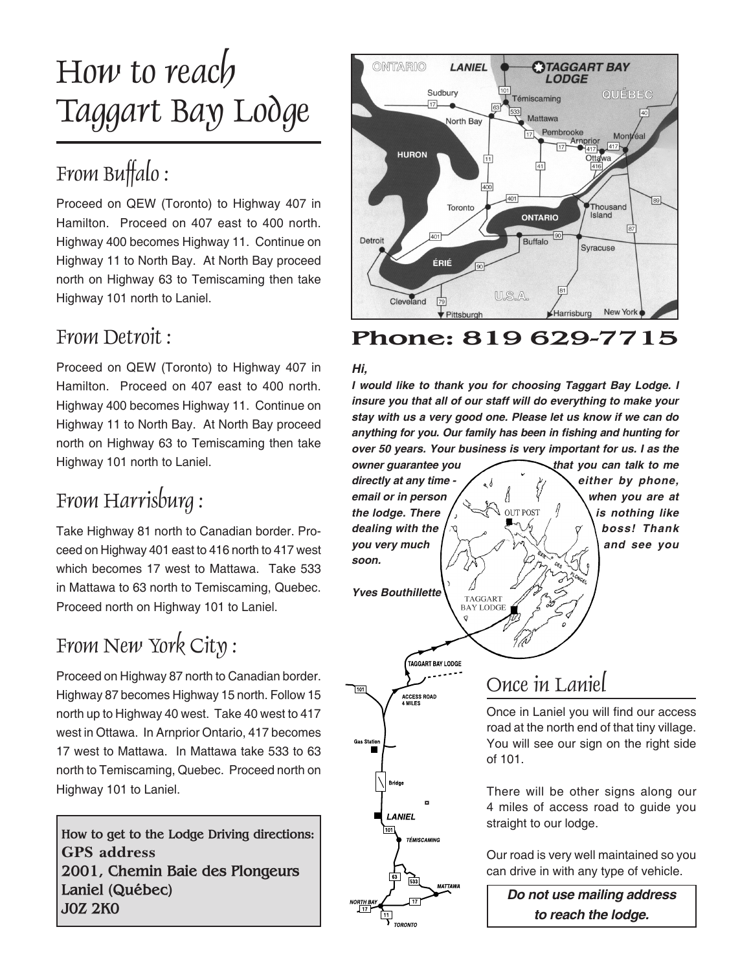# How to reach Taggart Bay Lodge

# From Buffalo :

Proceed on QEW (Toronto) to Highway 407 in Hamilton. Proceed on 407 east to 400 north. Highway 400 becomes Highway 11. Continue on Highway 11 to North Bay. At North Bay proceed north on Highway 63 to Temiscaming then take Highway 101 north to Laniel.

## From Detroit :

Proceed on QEW (Toronto) to Highway 407 in Hamilton. Proceed on 407 east to 400 north. Highway 400 becomes Highway 11. Continue on Highway 11 to North Bay. At North Bay proceed north on Highway 63 to Temiscaming then take Highway 101 north to Laniel.

# From Harrisburg :

Take Highway 81 north to Canadian border. Proceed on Highway 401 east to 416 north to 417 west which becomes 17 west to Mattawa. Take 533 in Mattawa to 63 north to Temiscaming, Quebec. Proceed north on Highway 101 to Laniel.

# From New York City :

Proceed on Highway 87 north to Canadian border. Highway 87 becomes Highway 15 north. Follow 15 north up to Highway 40 west. Take 40 west to 417 west in Ottawa. In Arnprior Ontario, 417 becomes 17 west to Mattawa. In Mattawa take 533 to 63 north to Temiscaming, Quebec. Proceed north on Highway 101 to Laniel.

**How to get to the Lodge Driving directions: GPS address 2001, Chemin Baie des Plongeurs Laniel (Québec) J0Z 2K0**



## **Phone: 819 629-7715**

#### **Hi,**

**I would like to thank you for choosing Taggart Bay Lodge. I insure you that all of our staff will do everything to make your stay with us a very good one. Please let us know if we can do anything for you. Our family has been in fishing and hunting for over 50 years. Your business is very important for us. I as the** 



Our road is very well maintained so you can drive in with any type of vehicle.

**Do not use mailing address to reach the lodge.**